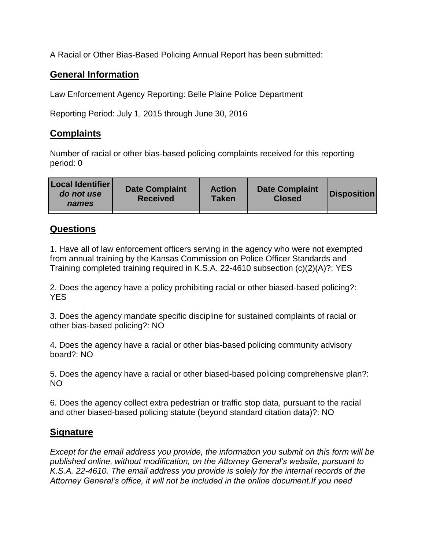A Racial or Other Bias-Based Policing Annual Report has been submitted:

## **General Information**

Law Enforcement Agency Reporting: Belle Plaine Police Department

Reporting Period: July 1, 2015 through June 30, 2016

## **Complaints**

Number of racial or other bias-based policing complaints received for this reporting period: 0

| <b>Local Identifier</b><br>do not use<br>names | <b>Date Complaint</b><br><b>Received</b> | <b>Action</b><br><b>Taken</b> | <b>Date Complaint</b><br><b>Closed</b> | Disposition |
|------------------------------------------------|------------------------------------------|-------------------------------|----------------------------------------|-------------|
|                                                |                                          |                               |                                        |             |

## **Questions**

1. Have all of law enforcement officers serving in the agency who were not exempted from annual training by the Kansas Commission on Police Officer Standards and Training completed training required in K.S.A. 22-4610 subsection (c)(2)(A)?: YES

2. Does the agency have a policy prohibiting racial or other biased-based policing?: YES

3. Does the agency mandate specific discipline for sustained complaints of racial or other bias-based policing?: NO

4. Does the agency have a racial or other bias-based policing community advisory board?: NO

5. Does the agency have a racial or other biased-based policing comprehensive plan?: NO

6. Does the agency collect extra pedestrian or traffic stop data, pursuant to the racial and other biased-based policing statute (beyond standard citation data)?: NO

## **Signature**

*Except for the email address you provide, the information you submit on this form will be published online, without modification, on the Attorney General's website, pursuant to K.S.A. 22-4610. The email address you provide is solely for the internal records of the Attorney General's office, it will not be included in the online document.If you need*